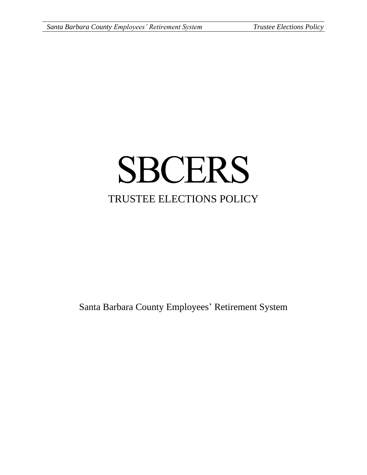# **SBCERS** TRUSTEE ELECTIONS POLICY

Santa Barbara County Employees' Retirement System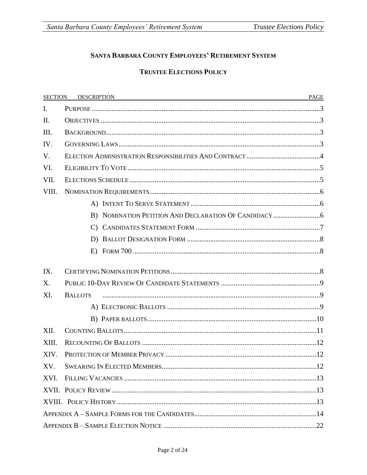#### SANTA BARBARA COUNTY EMPLOYEES' RETIREMENT SYSTEM

#### **TRUSTEE ELECTIONS POLICY**

| <b>SECTION</b> | DESCRIPTION <b>EXAMPLE AND RESPONSE ASSESS</b> | PAGE |
|----------------|------------------------------------------------|------|
| $\mathbf{I}$ . |                                                |      |
| II.            |                                                |      |
| III.           |                                                |      |
| IV.            |                                                |      |
| V.             |                                                |      |
| VI.            |                                                |      |
| VII.           |                                                |      |
| VIII.          |                                                |      |
|                |                                                |      |
|                |                                                |      |
|                |                                                |      |
|                |                                                |      |
|                |                                                |      |
| IX.            |                                                |      |
| X.             |                                                |      |
| XI.            | <b>BALLOTS</b>                                 |      |
|                |                                                |      |
|                |                                                |      |
| XII.           |                                                |      |
| XIII.          |                                                |      |
| XIV.           |                                                |      |
| XV.            |                                                |      |
| XVI.           |                                                |      |
|                |                                                |      |
|                |                                                |      |
|                |                                                |      |
|                |                                                |      |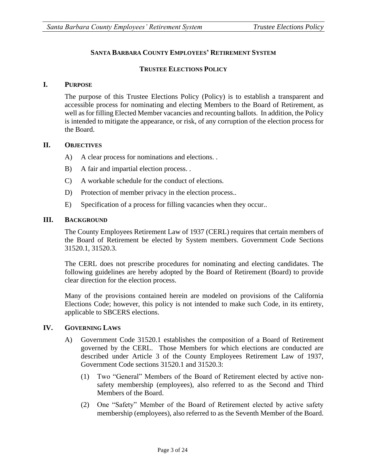#### **SANTA BARBARA COUNTY EMPLOYEES' RETIREMENT SYSTEM**

#### **TRUSTEE ELECTIONS POLICY**

#### **I. PURPOSE**

The purpose of this Trustee Elections Policy (Policy) is to establish a transparent and accessible process for nominating and electing Members to the Board of Retirement, as well as for filling Elected Member vacancies and recounting ballots. In addition, the Policy is intended to mitigate the appearance, or risk, of any corruption of the election process for the Board.

#### **II. OBJECTIVES**

- A) A clear process for nominations and elections. .
- B) A fair and impartial election process...
- C) A workable schedule for the conduct of elections.
- D) Protection of member privacy in the election process..
- E) Specification of a process for filling vacancies when they occur..

#### **III. BACKGROUND**

The County Employees Retirement Law of 1937 (CERL) requires that certain members of the Board of Retirement be elected by System members. Government Code Sections 31520.1, 31520.3.

The CERL does not prescribe procedures for nominating and electing candidates. The following guidelines are hereby adopted by the Board of Retirement (Board) to provide clear direction for the election process.

Many of the provisions contained herein are modeled on provisions of the California Elections Code; however, this policy is not intended to make such Code, in its entirety, applicable to SBCERS elections.

#### **IV. GOVERNING LAWS**

- A) Government Code 31520.1 establishes the composition of a Board of Retirement governed by the CERL. Those Members for which elections are conducted are described under Article 3 of the County Employees Retirement Law of 1937, Government Code sections 31520.1 and 31520.3:
	- (1) Two "General" Members of the Board of Retirement elected by active nonsafety membership (employees), also referred to as the Second and Third Members of the Board.
	- (2) One "Safety" Member of the Board of Retirement elected by active safety membership (employees), also referred to as the Seventh Member of the Board.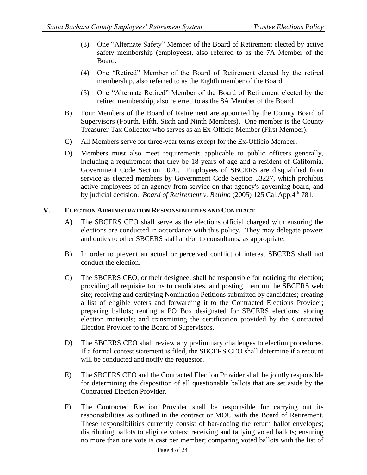- (3) One "Alternate Safety" Member of the Board of Retirement elected by active safety membership (employees), also referred to as the 7A Member of the Board.
- (4) One "Retired" Member of the Board of Retirement elected by the retired membership, also referred to as the Eighth member of the Board.
- (5) One "Alternate Retired" Member of the Board of Retirement elected by the retired membership, also referred to as the 8A Member of the Board.
- B) Four Members of the Board of Retirement are appointed by the County Board of Supervisors (Fourth, Fifth, Sixth and Ninth Members). One member is the County Treasurer-Tax Collector who serves as an Ex-Officio Member (First Member).
- C) All Members serve for three-year terms except for the Ex-Officio Member.
- D) Members must also meet requirements applicable to public officers generally, including a requirement that they be 18 years of age and a resident of California. Government Code Section 1020. Employees of SBCERS are disqualified from service as elected members by Government Code Section 53227, which prohibits active employees of an agency from service on that agency's governing board, and by judicial decision. *Board of Retirement v. Bellino* (2005) 125 Cal.App.4th 781.

#### **V. ELECTION ADMINISTRATION RESPONSIBILITIES AND CONTRACT**

- A) The SBCERS CEO shall serve as the elections official charged with ensuring the elections are conducted in accordance with this policy. They may delegate powers and duties to other SBCERS staff and/or to consultants, as appropriate.
- B) In order to prevent an actual or perceived conflict of interest SBCERS shall not conduct the election.
- C) The SBCERS CEO, or their designee, shall be responsible for noticing the election; providing all requisite forms to candidates, and posting them on the SBCERS web site; receiving and certifying Nomination Petitions submitted by candidates; creating a list of eligible voters and forwarding it to the Contracted Elections Provider; preparing ballots; renting a PO Box designated for SBCERS elections; storing election materials; and transmitting the certification provided by the Contracted Election Provider to the Board of Supervisors.
- D) The SBCERS CEO shall review any preliminary challenges to election procedures. If a formal contest statement is filed, the SBCERS CEO shall determine if a recount will be conducted and notify the requestor.
- E) The SBCERS CEO and the Contracted Election Provider shall be jointly responsible for determining the disposition of all questionable ballots that are set aside by the Contracted Election Provider.
- F) The Contracted Election Provider shall be responsible for carrying out its responsibilities as outlined in the contract or MOU with the Board of Retirement. These responsibilities currently consist of bar-coding the return ballot envelopes; distributing ballots to eligible voters; receiving and tallying voted ballots; ensuring no more than one vote is cast per member; comparing voted ballots with the list of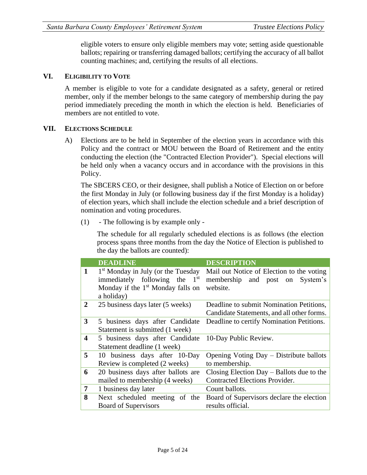eligible voters to ensure only eligible members may vote; setting aside questionable ballots; repairing or transferring damaged ballots; certifying the accuracy of all ballot counting machines; and, certifying the results of all elections.

#### **VI. ELIGIBILITY TO VOTE**

A member is eligible to vote for a candidate designated as a safety, general or retired member, only if the member belongs to the same category of membership during the pay period immediately preceding the month in which the election is held. Beneficiaries of members are not entitled to vote.

#### **VII. ELECTIONS SCHEDULE**

A) Elections are to be held in September of the election years in accordance with this Policy and the contract or MOU between the Board of Retirement and the entity conducting the election (the "Contracted Election Provider"). Special elections will be held only when a vacancy occurs and in accordance with the provisions in this Policy.

The SBCERS CEO, or their designee, shall publish a Notice of Election on or before the first Monday in July (or following business day if the first Monday is a holiday) of election years, which shall include the election schedule and a brief description of nomination and voting procedures.

(1) - The following is by example only -

The schedule for all regularly scheduled elections is as follows (the election process spans three months from the day the Notice of Election is published to the day the ballots are counted):

|                  | <b>DEADLINE</b>                                                                                                                                  | <b>DESCRIPTION</b>                                                                          |
|------------------|--------------------------------------------------------------------------------------------------------------------------------------------------|---------------------------------------------------------------------------------------------|
| $\mathbf{1}$     | 1 <sup>st</sup> Monday in July (or the Tuesday<br>immediately following the 1 <sup>st</sup><br>Monday if the $1st$ Monday falls on<br>a holiday) | Mail out Notice of Election to the voting<br>membership and post on<br>System's<br>website. |
| $\mathbf{2}$     | 25 business days later (5 weeks)                                                                                                                 | Deadline to submit Nomination Petitions,<br>Candidate Statements, and all other forms.      |
| 3                | 5 business days after Candidate<br>Statement is submitted (1 week)                                                                               | Deadline to certify Nomination Petitions.                                                   |
| $\boldsymbol{4}$ | 5 business days after Candidate<br>Statement deadline (1 week)                                                                                   | 10-Day Public Review.                                                                       |
| 5                | 10 business days after 10-Day<br>Review is completed (2 weeks)                                                                                   | Opening Voting Day – Distribute ballots<br>to membership.                                   |
| 6                | 20 business days after ballots are<br>mailed to membership (4 weeks)                                                                             | Closing Election Day $-$ Ballots due to the<br><b>Contracted Elections Provider.</b>        |
| $\overline{7}$   | 1 business day later                                                                                                                             | Count ballots.                                                                              |
| 8                | Next scheduled meeting of the<br><b>Board of Supervisors</b>                                                                                     | Board of Supervisors declare the election<br>results official.                              |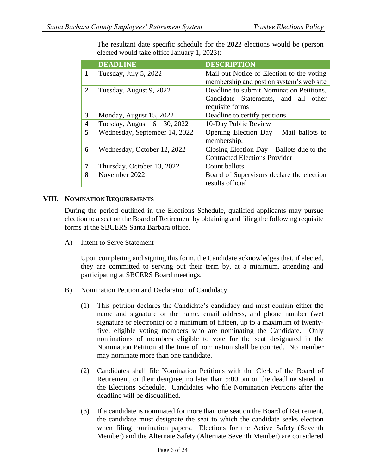The resultant date specific schedule for the **2022** elections would be (person elected would take office January 1, 2023):

|   | <b>DEADLINE</b>                  | <b>DESCRIPTION</b>                                                                                 |
|---|----------------------------------|----------------------------------------------------------------------------------------------------|
| 1 | Tuesday, July 5, 2022            | Mail out Notice of Election to the voting<br>membership and post on system's web site              |
| 2 | Tuesday, August 9, 2022          | Deadline to submit Nomination Petitions,<br>Candidate Statements, and all other<br>requisite forms |
| 3 | Monday, August 15, 2022          | Deadline to certify petitions                                                                      |
| 4 | Tuesday, August $16 - 30$ , 2022 | 10-Day Public Review                                                                               |
| 5 | Wednesday, September 14, 2022    | Opening Election Day - Mail ballots to<br>membership.                                              |
| 6 | Wednesday, October 12, 2022      | Closing Election Day $-$ Ballots due to the<br><b>Contracted Elections Provider</b>                |
| 7 | Thursday, October 13, 2022       | Count ballots                                                                                      |
| 8 | November 2022                    | Board of Supervisors declare the election<br>results official                                      |

#### **VIII. NOMINATION REQUIREMENTS**

During the period outlined in the Elections Schedule, qualified applicants may pursue election to a seat on the Board of Retirement by obtaining and filing the following requisite forms at the SBCERS Santa Barbara office.

A) Intent to Serve Statement

Upon completing and signing this form, the Candidate acknowledges that, if elected, they are committed to serving out their term by, at a minimum, attending and participating at SBCERS Board meetings.

- B) Nomination Petition and Declaration of Candidacy
	- (1) This petition declares the Candidate's candidacy and must contain either the name and signature or the name, email address, and phone number (wet signature or electronic) of a minimum of fifteen, up to a maximum of twentyfive, eligible voting members who are nominating the Candidate. Only nominations of members eligible to vote for the seat designated in the Nomination Petition at the time of nomination shall be counted. No member may nominate more than one candidate.
	- (2) Candidates shall file Nomination Petitions with the Clerk of the Board of Retirement, or their designee, no later than 5:00 pm on the deadline stated in the Elections Schedule. Candidates who file Nomination Petitions after the deadline will be disqualified.
	- (3) If a candidate is nominated for more than one seat on the Board of Retirement, the candidate must designate the seat to which the candidate seeks election when filing nomination papers. Elections for the Active Safety (Seventh Member) and the Alternate Safety (Alternate Seventh Member) are considered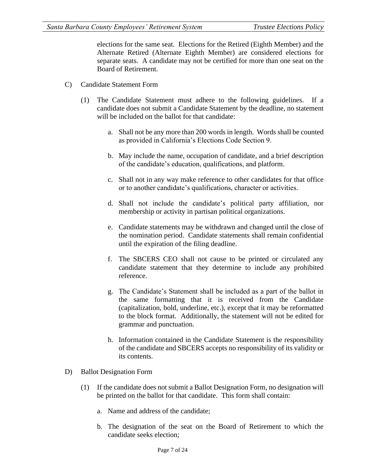elections for the same seat. Elections for the Retired (Eighth Member) and the Alternate Retired (Alternate Eighth Member) are considered elections for separate seats. A candidate may not be certified for more than one seat on the Board of Retirement.

- C) Candidate Statement Form
	- (1) The Candidate Statement must adhere to the following guidelines. If a candidate does not submit a Candidate Statement by the deadline, no statement will be included on the ballot for that candidate:
		- a. Shall not be any more than 200 words in length. Words shall be counted as provided in California's Elections Code Section 9.
		- b. May include the name, occupation of candidate, and a brief description of the candidate's education, qualifications, and platform.
		- c. Shall not in any way make reference to other candidates for that office or to another candidate's qualifications, character or activities.
		- d. Shall not include the candidate's political party affiliation, nor membership or activity in partisan political organizations.
		- e. Candidate statements may be withdrawn and changed until the close of the nomination period. Candidate statements shall remain confidential until the expiration of the filing deadline.
		- f. The SBCERS CEO shall not cause to be printed or circulated any candidate statement that they determine to include any prohibited reference.
		- g. The Candidate's Statement shall be included as a part of the ballot in the same formatting that it is received from the Candidate (capitalization, bold, underline, etc.), except that it may be reformatted to the block format. Additionally, the statement will not be edited for grammar and punctuation.
		- h. Information contained in the Candidate Statement is the responsibility of the candidate and SBCERS accepts no responsibility of its validity or its contents.
- D) Ballot Designation Form
	- (1) If the candidate does not submit a Ballot Designation Form, no designation will be printed on the ballot for that candidate. This form shall contain:
		- a. Name and address of the candidate;
		- b. The designation of the seat on the Board of Retirement to which the candidate seeks election;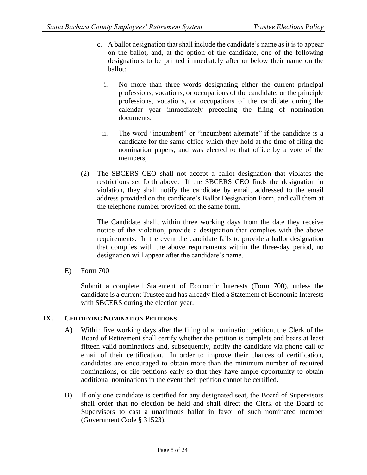- c. A ballot designation that shall include the candidate's name as it is to appear on the ballot, and, at the option of the candidate, one of the following designations to be printed immediately after or below their name on the ballot:
	- i. No more than three words designating either the current principal professions, vocations, or occupations of the candidate, or the principle professions, vocations, or occupations of the candidate during the calendar year immediately preceding the filing of nomination documents;
	- ii. The word "incumbent" or "incumbent alternate" if the candidate is a candidate for the same office which they hold at the time of filing the nomination papers, and was elected to that office by a vote of the members;
- (2) The SBCERS CEO shall not accept a ballot designation that violates the restrictions set forth above. If the SBCERS CEO finds the designation in violation, they shall notify the candidate by email, addressed to the email address provided on the candidate's Ballot Designation Form, and call them at the telephone number provided on the same form.

The Candidate shall, within three working days from the date they receive notice of the violation, provide a designation that complies with the above requirements. In the event the candidate fails to provide a ballot designation that complies with the above requirements within the three-day period, no designation will appear after the candidate's name.

E) Form 700

Submit a completed Statement of Economic Interests (Form 700), unless the candidate is a current Trustee and has already filed a Statement of Economic Interests with SBCERS during the election year.

#### **IX. CERTIFYING NOMINATION PETITIONS**

- A) Within five working days after the filing of a nomination petition, the Clerk of the Board of Retirement shall certify whether the petition is complete and bears at least fifteen valid nominations and, subsequently, notify the candidate via phone call or email of their certification. In order to improve their chances of certification, candidates are encouraged to obtain more than the minimum number of required nominations, or file petitions early so that they have ample opportunity to obtain additional nominations in the event their petition cannot be certified.
- B) If only one candidate is certified for any designated seat, the Board of Supervisors shall order that no election be held and shall direct the Clerk of the Board of Supervisors to cast a unanimous ballot in favor of such nominated member (Government Code § 31523).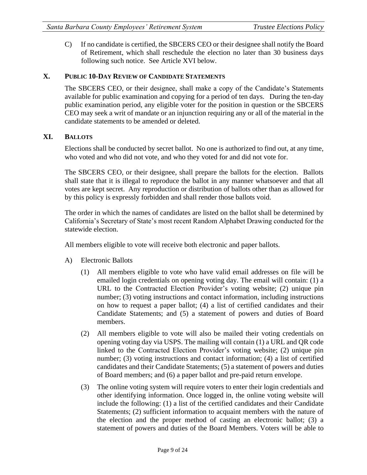C) If no candidate is certified, the SBCERS CEO or their designee shall notify the Board of Retirement, which shall reschedule the election no later than 30 business days following such notice. See Article XVI below.

#### **X. PUBLIC 10-DAY REVIEW OF CANDIDATE STATEMENTS**

The SBCERS CEO, or their designee, shall make a copy of the Candidate's Statements available for public examination and copying for a period of ten days. During the ten-day public examination period, any eligible voter for the position in question or the SBCERS CEO may seek a writ of mandate or an injunction requiring any or all of the material in the candidate statements to be amended or deleted.

#### **XI. BALLOTS**

Elections shall be conducted by secret ballot. No one is authorized to find out, at any time, who voted and who did not vote, and who they voted for and did not vote for.

The SBCERS CEO, or their designee, shall prepare the ballots for the election. Ballots shall state that it is illegal to reproduce the ballot in any manner whatsoever and that all votes are kept secret. Any reproduction or distribution of ballots other than as allowed for by this policy is expressly forbidden and shall render those ballots void.

The order in which the names of candidates are listed on the ballot shall be determined by California's Secretary of State's most recent Random Alphabet Drawing conducted for the statewide election.

All members eligible to vote will receive both electronic and paper ballots.

- A) Electronic Ballots
	- (1) All members eligible to vote who have valid email addresses on file will be emailed login credentials on opening voting day. The email will contain: (1) a URL to the Contracted Election Provider's voting website; (2) unique pin number; (3) voting instructions and contact information, including instructions on how to request a paper ballot; (4) a list of certified candidates and their Candidate Statements; and (5) a statement of powers and duties of Board members.
	- (2) All members eligible to vote will also be mailed their voting credentials on opening voting day via USPS. The mailing will contain (1) a URL and QR code linked to the Contracted Election Provider's voting website; (2) unique pin number; (3) voting instructions and contact information; (4) a list of certified candidates and their Candidate Statements; (5) a statement of powers and duties of Board members; and (6) a paper ballot and pre-paid return envelope.
	- (3) The online voting system will require voters to enter their login credentials and other identifying information. Once logged in, the online voting website will include the following: (1) a list of the certified candidates and their Candidate Statements; (2) sufficient information to acquaint members with the nature of the election and the proper method of casting an electronic ballot; (3) a statement of powers and duties of the Board Members. Voters will be able to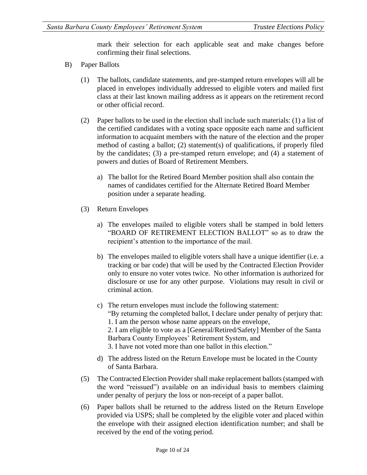mark their selection for each applicable seat and make changes before confirming their final selections.

- B) Paper Ballots
	- (1) The ballots, candidate statements, and pre-stamped return envelopes will all be placed in envelopes individually addressed to eligible voters and mailed first class at their last known mailing address as it appears on the retirement record or other official record.
	- (2) Paper ballots to be used in the election shall include such materials: (1) a list of the certified candidates with a voting space opposite each name and sufficient information to acquaint members with the nature of the election and the proper method of casting a ballot; (2) statement(s) of qualifications, if properly filed by the candidates; (3) a pre-stamped return envelope; and (4) a statement of powers and duties of Board of Retirement Members.
		- a) The ballot for the Retired Board Member position shall also contain the names of candidates certified for the Alternate Retired Board Member position under a separate heading.
	- (3) Return Envelopes
		- a) The envelopes mailed to eligible voters shall be stamped in bold letters "BOARD OF RETIREMENT ELECTION BALLOT" so as to draw the recipient's attention to the importance of the mail.
		- b) The envelopes mailed to eligible voters shall have a unique identifier (i.e. a tracking or bar code) that will be used by the Contracted Election Provider only to ensure no voter votes twice. No other information is authorized for disclosure or use for any other purpose. Violations may result in civil or criminal action.
		- c) The return envelopes must include the following statement: "By returning the completed ballot, I declare under penalty of perjury that: 1. I am the person whose name appears on the envelope, 2. I am eligible to vote as a [General/Retired/Safety] Member of the Santa Barbara County Employees' Retirement System, and
			- 3. I have not voted more than one ballot in this election."
		- d) The address listed on the Return Envelope must be located in the County of Santa Barbara.
	- (5) The Contracted Election Provider shall make replacement ballots (stamped with the word "reissued") available on an individual basis to members claiming under penalty of perjury the loss or non-receipt of a paper ballot.
	- (6) Paper ballots shall be returned to the address listed on the Return Envelope provided via USPS; shall be completed by the eligible voter and placed within the envelope with their assigned election identification number; and shall be received by the end of the voting period.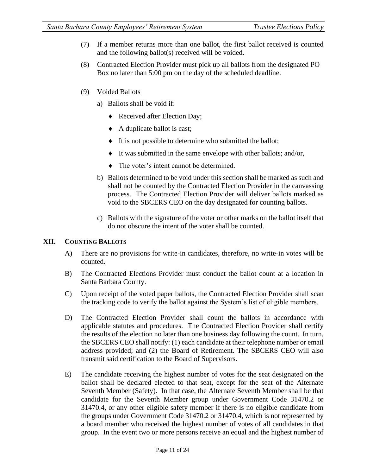- (7) If a member returns more than one ballot, the first ballot received is counted and the following ballot(s) received will be voided.
- (8) Contracted Election Provider must pick up all ballots from the designated PO Box no later than 5:00 pm on the day of the scheduled deadline.
- (9) Voided Ballots
	- a) Ballots shall be void if:
		- Received after Election Day;
		- A duplicate ballot is cast;
		- It is not possible to determine who submitted the ballot;
		- It was submitted in the same envelope with other ballots; and/or,
		- The voter's intent cannot be determined.
	- b) Ballots determined to be void under this section shall be marked as such and shall not be counted by the Contracted Election Provider in the canvassing process. The Contracted Election Provider will deliver ballots marked as void to the SBCERS CEO on the day designated for counting ballots.
	- c) Ballots with the signature of the voter or other marks on the ballot itself that do not obscure the intent of the voter shall be counted.

#### **XII. COUNTING BALLOTS**

- A) There are no provisions for write-in candidates, therefore, no write-in votes will be counted.
- B) The Contracted Elections Provider must conduct the ballot count at a location in Santa Barbara County.
- C) Upon receipt of the voted paper ballots, the Contracted Election Provider shall scan the tracking code to verify the ballot against the System's list of eligible members.
- D) The Contracted Election Provider shall count the ballots in accordance with applicable statutes and procedures. The Contracted Election Provider shall certify the results of the election no later than one business day following the count. In turn, the SBCERS CEO shall notify: (1) each candidate at their telephone number or email address provided; and (2) the Board of Retirement. The SBCERS CEO will also transmit said certification to the Board of Supervisors.
- E) The candidate receiving the highest number of votes for the seat designated on the ballot shall be declared elected to that seat, except for the seat of the Alternate Seventh Member (Safety). In that case, the Alternate Seventh Member shall be that candidate for the Seventh Member group under Government Code 31470.2 or 31470.4, or any other eligible safety member if there is no eligible candidate from the groups under Government Code 31470.2 or 31470.4, which is not represented by a board member who received the highest number of votes of all candidates in that group. In the event two or more persons receive an equal and the highest number of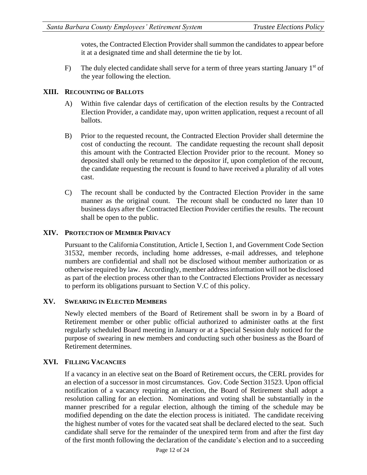votes, the Contracted Election Provider shall summon the candidates to appear before it at a designated time and shall determine the tie by lot.

F) The duly elected candidate shall serve for a term of three years starting January  $1<sup>st</sup>$  of the year following the election.

#### **XIII. RECOUNTING OF BALLOTS**

- A) Within five calendar days of certification of the election results by the Contracted Election Provider, a candidate may, upon written application, request a recount of all ballots.
- B) Prior to the requested recount, the Contracted Election Provider shall determine the cost of conducting the recount. The candidate requesting the recount shall deposit this amount with the Contracted Election Provider prior to the recount. Money so deposited shall only be returned to the depositor if, upon completion of the recount, the candidate requesting the recount is found to have received a plurality of all votes cast.
- C) The recount shall be conducted by the Contracted Election Provider in the same manner as the original count. The recount shall be conducted no later than 10 business days after the Contracted Election Provider certifies the results. The recount shall be open to the public.

#### **XIV. PROTECTION OF MEMBER PRIVACY**

Pursuant to the California Constitution, Article I, Section 1, and Government Code Section 31532, member records, including home addresses, e-mail addresses, and telephone numbers are confidential and shall not be disclosed without member authorization or as otherwise required by law. Accordingly, member address information will not be disclosed as part of the election process other than to the Contracted Elections Provider as necessary to perform its obligations pursuant to Section V.C of this policy.

#### **XV. SWEARING IN ELECTED MEMBERS**

Newly elected members of the Board of Retirement shall be sworn in by a Board of Retirement member or other public official authorized to administer oaths at the first regularly scheduled Board meeting in January or at a Special Session duly noticed for the purpose of swearing in new members and conducting such other business as the Board of Retirement determines.

#### **XVI. FILLING VACANCIES**

If a vacancy in an elective seat on the Board of Retirement occurs, the CERL provides for an election of a successor in most circumstances. Gov. Code Section 31523. Upon official notification of a vacancy requiring an election, the Board of Retirement shall adopt a resolution calling for an election. Nominations and voting shall be substantially in the manner prescribed for a regular election, although the timing of the schedule may be modified depending on the date the election process is initiated. The candidate receiving the highest number of votes for the vacated seat shall be declared elected to the seat. Such candidate shall serve for the remainder of the unexpired term from and after the first day of the first month following the declaration of the candidate's election and to a succeeding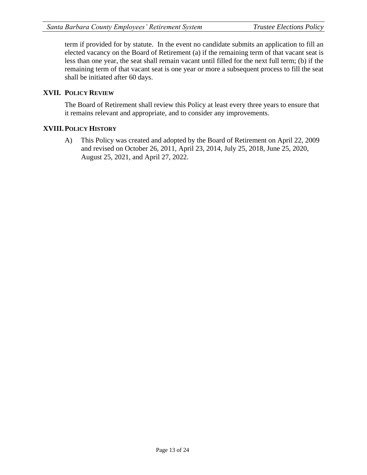term if provided for by statute. In the event no candidate submits an application to fill an elected vacancy on the Board of Retirement (a) if the remaining term of that vacant seat is less than one year, the seat shall remain vacant until filled for the next full term; (b) if the remaining term of that vacant seat is one year or more a subsequent process to fill the seat shall be initiated after 60 days.

#### **XVII. POLICY REVIEW**

The Board of Retirement shall review this Policy at least every three years to ensure that it remains relevant and appropriate, and to consider any improvements.

#### **XVIII.POLICY HISTORY**

A) This Policy was created and adopted by the Board of Retirement on April 22, 2009 and revised on October 26, 2011, April 23, 2014, July 25, 2018, June 25, 2020, August 25, 2021, and April 27, 2022.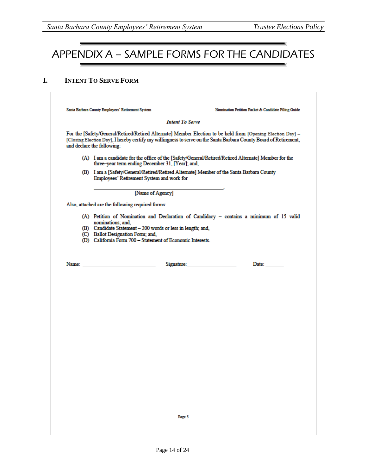# APPENDIX A – SAMPLE FORMS FOR THE CANDIDATES

#### **I. INTENT TO SERVE FORM**

| Santa Barbara County Employees' Retirement System<br>Nomination Petition Packet & Candidate Filing Guide                                                                                                                                                       |
|----------------------------------------------------------------------------------------------------------------------------------------------------------------------------------------------------------------------------------------------------------------|
| <b>Intent To Serve</b>                                                                                                                                                                                                                                         |
| For the [Safety/General/Retired/Retired Alternate] Member Election to be held from [Opening Election Day] -<br>[Closing Election Day], I hereby certify my willingness to serve on the Santa Barbara County Board of Retirement,<br>and declare the following: |
| (A) I am a candidate for the office of the [Safety/General/Retired/Retired Alternate] Member for the<br>three-year term ending December 31, [Year]; and,                                                                                                       |
| (B) I am a [Safety/General/Retired/Retired Alternate] Member of the Santa Barbara County<br>Employees' Retirement System and work for                                                                                                                          |
| [Name of Agency]                                                                                                                                                                                                                                               |
| Also, attached are the following required forms:                                                                                                                                                                                                               |
| (A) Petition of Nomination and Declaration of Candidacy - contains a minimum of 15 valid                                                                                                                                                                       |
| nominations; and,<br>(B) Candidate Statement - 200 words or less in length; and,                                                                                                                                                                               |
| (C) Ballot Designation Form; and,                                                                                                                                                                                                                              |
| (D) California Form 700 - Statement of Economic Interests.                                                                                                                                                                                                     |
| Signature: The Commission of the Commission of the Commission of the Commission of the Commission of the Commission of the Commission of the Commission of the Commission of the Commission of the Commission of the Commissio<br>Date:                        |
|                                                                                                                                                                                                                                                                |
|                                                                                                                                                                                                                                                                |
|                                                                                                                                                                                                                                                                |
|                                                                                                                                                                                                                                                                |
|                                                                                                                                                                                                                                                                |
|                                                                                                                                                                                                                                                                |
|                                                                                                                                                                                                                                                                |
|                                                                                                                                                                                                                                                                |
|                                                                                                                                                                                                                                                                |
|                                                                                                                                                                                                                                                                |
|                                                                                                                                                                                                                                                                |
|                                                                                                                                                                                                                                                                |
|                                                                                                                                                                                                                                                                |
|                                                                                                                                                                                                                                                                |
|                                                                                                                                                                                                                                                                |
|                                                                                                                                                                                                                                                                |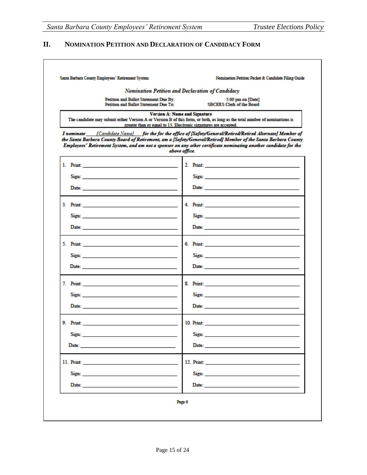Г

### **II. NOMINATION PETITION AND DECLARATION OF CANDIDACY FORM**

|       | Nomination Petition and Declaration of Candidacy                                                                                                                                                                                     |                                                                                                                                                                                                                                                                                                                                                  |
|-------|--------------------------------------------------------------------------------------------------------------------------------------------------------------------------------------------------------------------------------------|--------------------------------------------------------------------------------------------------------------------------------------------------------------------------------------------------------------------------------------------------------------------------------------------------------------------------------------------------|
|       | Petition and Ballot Statement Due By:<br>Petition and Ballot Statement Due To:                                                                                                                                                       | 5:00 pm on [Date]<br><b>SBCERS Clerk of the Board</b>                                                                                                                                                                                                                                                                                            |
|       | <b>Version A: Name and Signature</b><br>greater than or equal to 15. Electronic signatures are accepted.                                                                                                                             | The candidate may submit either Version A or Version B of this form, or both, as long as the total number of nominations is                                                                                                                                                                                                                      |
|       | above office.                                                                                                                                                                                                                        | I nominate [Candidate Name] for the for the office of [Safety/General/Retired/Retired Alternate] Member of<br>the Santa Barbara County Board of Retirement, am a [Safety/General/Retired] Member of the Santa Barbara County<br>Employees' Retirement System, and am not a sponsor on any other certificate nominating another candidate for the |
|       |                                                                                                                                                                                                                                      |                                                                                                                                                                                                                                                                                                                                                  |
|       | Sign: 2008 2008 2010 2010 2010 2011 2012 2013 2014 2015 2016 2017 2018 2019 2019 2019 2019 2019 2019                                                                                                                                 |                                                                                                                                                                                                                                                                                                                                                  |
|       | Date: http://www.archive.com/watch?university/international/watch?university/international/watch?university/international/watch?university/international/watch?university/international/watch?university/international/watch?u       |                                                                                                                                                                                                                                                                                                                                                  |
|       |                                                                                                                                                                                                                                      |                                                                                                                                                                                                                                                                                                                                                  |
|       | Sign: 2008 2008 2010 2010 2010 2011 2012 2013 2014 2015 2016 2017 2018 2019 2019 2019 2019 2019 2019                                                                                                                                 | Sign: Sign: And All And All And All And All And All And All And All And All And All And All And All And All And All And All And All And All And All And All And All And All And All And All And All And All And All And All An                                                                                                                   |
|       | Date: <u>Date: Alexander State State State State State State State State State State State State State State State State State State State State State State State State State State State State State State State State State S</u> |                                                                                                                                                                                                                                                                                                                                                  |
|       |                                                                                                                                                                                                                                      |                                                                                                                                                                                                                                                                                                                                                  |
|       |                                                                                                                                                                                                                                      |                                                                                                                                                                                                                                                                                                                                                  |
|       |                                                                                                                                                                                                                                      |                                                                                                                                                                                                                                                                                                                                                  |
|       |                                                                                                                                                                                                                                      | 8. Print: 2008 . 2008 . 2009 . 2009 . 2009 . 2009 . 2009 . 2009 . 2009 . 2009 . 2009 . 2009 . 2009 . 2009 . 2009 . 2009 . 2009 . 2009 . 2009 . 2009 . 2009 . 2009 . 2009 . 2009 . 2009 . 2009 . 2009 . 2009 . 2009 . 2009 . 20                                                                                                                   |
|       |                                                                                                                                                                                                                                      | Sign: and the contract of the contract of the contract of the contract of the contract of the contract of the contract of the contract of the contract of the contract of the contract of the contract of the contract of the                                                                                                                    |
|       |                                                                                                                                                                                                                                      |                                                                                                                                                                                                                                                                                                                                                  |
|       |                                                                                                                                                                                                                                      |                                                                                                                                                                                                                                                                                                                                                  |
| Sign: |                                                                                                                                                                                                                                      | Sign:                                                                                                                                                                                                                                                                                                                                            |
|       |                                                                                                                                                                                                                                      |                                                                                                                                                                                                                                                                                                                                                  |
|       |                                                                                                                                                                                                                                      |                                                                                                                                                                                                                                                                                                                                                  |
|       | Sign: North Commission of the Commission of the Commission of the Commission of the Commission of the Commission of the Commission of the Commission of the Commission of the Commission of the Commission of the Commission o       |                                                                                                                                                                                                                                                                                                                                                  |
|       |                                                                                                                                                                                                                                      | Date: 2008 2010 2010 2021 2022 2023 2024 2022 2022 2023 2024 2022 2023 2024 2022 2023 2024 2022 2023 2024 2025                                                                                                                                                                                                                                   |
|       | Page 6                                                                                                                                                                                                                               |                                                                                                                                                                                                                                                                                                                                                  |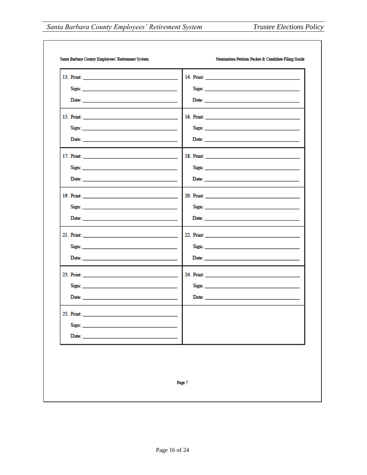|                                                                                                                                                                                                                                | Sign: No. 1998                                                                                                                                                                                                                |
|--------------------------------------------------------------------------------------------------------------------------------------------------------------------------------------------------------------------------------|-------------------------------------------------------------------------------------------------------------------------------------------------------------------------------------------------------------------------------|
|                                                                                                                                                                                                                                |                                                                                                                                                                                                                               |
|                                                                                                                                                                                                                                |                                                                                                                                                                                                                               |
| Sign: the contract of the contract of the contract of the contract of the contract of the contract of the contract of the contract of the contract of the contract of the contract of the contract of the contract of the cont |                                                                                                                                                                                                                               |
|                                                                                                                                                                                                                                |                                                                                                                                                                                                                               |
|                                                                                                                                                                                                                                |                                                                                                                                                                                                                               |
| Sign: Sign: The Company of the Company of the Company of the Company of the Company of the Company of the Company of the Company of the Company of the Company of the Company of the Company of the Company of the Company of  |                                                                                                                                                                                                                               |
|                                                                                                                                                                                                                                |                                                                                                                                                                                                                               |
|                                                                                                                                                                                                                                |                                                                                                                                                                                                                               |
|                                                                                                                                                                                                                                |                                                                                                                                                                                                                               |
|                                                                                                                                                                                                                                |                                                                                                                                                                                                                               |
|                                                                                                                                                                                                                                |                                                                                                                                                                                                                               |
| Sign: Sign: And All And All And All And All And All And All And All And All And All And All And All And All And All And All And All And All And All And All And All And All And All And All And All And All And All And All An |                                                                                                                                                                                                                               |
|                                                                                                                                                                                                                                |                                                                                                                                                                                                                               |
| 23. Print: 2008. 2014                                                                                                                                                                                                          |                                                                                                                                                                                                                               |
|                                                                                                                                                                                                                                | Sign: and the state of the state of the state of the state of the state of the state of the state of the state of the state of the state of the state of the state of the state of the state of the state of the state of the |
| Date: Note: 2008 - 2008 - 2009 - 2009 - 2009 - 2009 - 2009 - 2009 - 2009 - 2009 - 2009 - 2009 - 2009 - 2009 - 2009 - 2009 - 2009 - 2009 - 2009 - 2009 - 2009 - 2009 - 2009 - 2009 - 2009 - 2009 - 2009 - 2009 - 2009 - 2009 -  |                                                                                                                                                                                                                               |
| 25. Print:                                                                                                                                                                                                                     |                                                                                                                                                                                                                               |
| Sign:                                                                                                                                                                                                                          |                                                                                                                                                                                                                               |
| $\mathbf{Date:}$                                                                                                                                                                                                               |                                                                                                                                                                                                                               |
|                                                                                                                                                                                                                                |                                                                                                                                                                                                                               |
|                                                                                                                                                                                                                                |                                                                                                                                                                                                                               |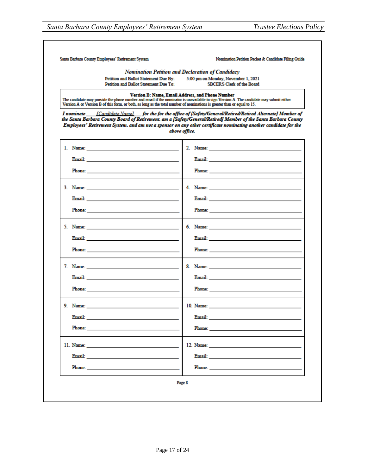| Santa Barbara County Employees' Retirement System                                                                                                                                                                                                                   | Nomination Petition Packet & Candidate Filing Guide                                                                                                                                                                                                                                                                                                    |
|---------------------------------------------------------------------------------------------------------------------------------------------------------------------------------------------------------------------------------------------------------------------|--------------------------------------------------------------------------------------------------------------------------------------------------------------------------------------------------------------------------------------------------------------------------------------------------------------------------------------------------------|
|                                                                                                                                                                                                                                                                     | Nomination Petition and Declaration of Candidacy                                                                                                                                                                                                                                                                                                       |
| Petition and Ballot Statement Due By:<br>Petition and Ballot Statement Due To:                                                                                                                                                                                      | 5:00 pm on Monday, November 1, 2021<br><b>SBCERS Clerk of the Board</b>                                                                                                                                                                                                                                                                                |
|                                                                                                                                                                                                                                                                     |                                                                                                                                                                                                                                                                                                                                                        |
| The candidate may provide the phone number and email if the nominator is unavailable to sign Version A. The candidate may submit either<br>Version A or Version B of this form, or both, as long as the total number of nominations is greater than or equal to 15. | Version B: Name, Email Address, and Phone Number                                                                                                                                                                                                                                                                                                       |
| I nominate                                                                                                                                                                                                                                                          | [Candidate Name] for the for the office of [Safety/General/Retired/Retired Alternate] Member of<br>the Santa Barbara County Board of Retirement, am a [Safety/General/Retired] Member of the Santa Barbara County<br>Employees' Retirement System, and am not a sponsor on any other certificate nominating another candidate for the<br>above office. |
|                                                                                                                                                                                                                                                                     |                                                                                                                                                                                                                                                                                                                                                        |
|                                                                                                                                                                                                                                                                     |                                                                                                                                                                                                                                                                                                                                                        |
| Email: and a state of the state of the state of the state of the state of the state of the state of the state of the state of the state of the state of the state of the state of the state of the state of the state of the s                                      | Email: <u>Alexander and Alexander and Alexander and Alexander and Alexander and Alexander and Alexander and Alexander and Alexander and Alexander and Alexander and Alexander and Alexander and Alexander and Alexander and Alex</u>                                                                                                                   |
|                                                                                                                                                                                                                                                                     |                                                                                                                                                                                                                                                                                                                                                        |
|                                                                                                                                                                                                                                                                     |                                                                                                                                                                                                                                                                                                                                                        |
|                                                                                                                                                                                                                                                                     |                                                                                                                                                                                                                                                                                                                                                        |
|                                                                                                                                                                                                                                                                     |                                                                                                                                                                                                                                                                                                                                                        |
| Email: No. 1996. The Commission of the Commission of the Commission of the Commission of the Commission of the                                                                                                                                                      |                                                                                                                                                                                                                                                                                                                                                        |
| <b>Phone:</b> Phone: The contract of the contract of the contract of the contract of the contract of the contract of the contract of the contract of the contract of the contract of the contract of the contract of the contract o                                 |                                                                                                                                                                                                                                                                                                                                                        |
|                                                                                                                                                                                                                                                                     |                                                                                                                                                                                                                                                                                                                                                        |
|                                                                                                                                                                                                                                                                     |                                                                                                                                                                                                                                                                                                                                                        |
| Email: No. 1998                                                                                                                                                                                                                                                     |                                                                                                                                                                                                                                                                                                                                                        |
|                                                                                                                                                                                                                                                                     |                                                                                                                                                                                                                                                                                                                                                        |
| Phone: The contract of the contract of the contract of the contract of the contract of the contract of the contract of the contract of the contract of the contract of the contract of the contract of the contract of the con                                      |                                                                                                                                                                                                                                                                                                                                                        |
|                                                                                                                                                                                                                                                                     |                                                                                                                                                                                                                                                                                                                                                        |
|                                                                                                                                                                                                                                                                     |                                                                                                                                                                                                                                                                                                                                                        |
| Email: <u>Alexander and Alexander and Alexander and Alexander and Alexander and Alexander and Alexander and Alex</u>                                                                                                                                                |                                                                                                                                                                                                                                                                                                                                                        |
|                                                                                                                                                                                                                                                                     |                                                                                                                                                                                                                                                                                                                                                        |
|                                                                                                                                                                                                                                                                     |                                                                                                                                                                                                                                                                                                                                                        |
|                                                                                                                                                                                                                                                                     |                                                                                                                                                                                                                                                                                                                                                        |
|                                                                                                                                                                                                                                                                     |                                                                                                                                                                                                                                                                                                                                                        |
|                                                                                                                                                                                                                                                                     |                                                                                                                                                                                                                                                                                                                                                        |
|                                                                                                                                                                                                                                                                     |                                                                                                                                                                                                                                                                                                                                                        |
|                                                                                                                                                                                                                                                                     |                                                                                                                                                                                                                                                                                                                                                        |
|                                                                                                                                                                                                                                                                     |                                                                                                                                                                                                                                                                                                                                                        |
| <b>Email:</b> The contract of the contract of the contract of the contract of the contract of the contract of the contract of the contract of the contract of the contract of the contract of the contract of the contract of the c                                 | Email: The contract of the contract of the contract of the contract of the contract of the contract of the contract of the contract of the contract of the contract of the contract of the contract of the contract of the con                                                                                                                         |
|                                                                                                                                                                                                                                                                     |                                                                                                                                                                                                                                                                                                                                                        |
|                                                                                                                                                                                                                                                                     | Phone: The Commission of the Commission of the Commission of the Commission of the Commission of the Commission                                                                                                                                                                                                                                        |
|                                                                                                                                                                                                                                                                     |                                                                                                                                                                                                                                                                                                                                                        |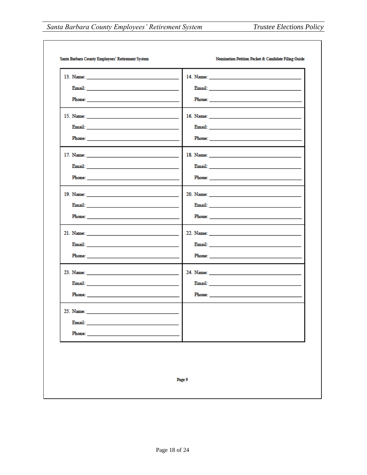|                                                                                                                                                                                                                                      | Email: <u>Alexander Alexander Alexander Alexander Alexander Alexander Alexander Alexander Alexander Alexander Alex</u>                                                                                                              |  |
|--------------------------------------------------------------------------------------------------------------------------------------------------------------------------------------------------------------------------------------|-------------------------------------------------------------------------------------------------------------------------------------------------------------------------------------------------------------------------------------|--|
|                                                                                                                                                                                                                                      |                                                                                                                                                                                                                                     |  |
|                                                                                                                                                                                                                                      |                                                                                                                                                                                                                                     |  |
| Email: No. 1996. The Common State of the Common State of the Common State of the Common State of the Common State of the Common State of the Common State of the Common State of the Common State of the Common State of the C       |                                                                                                                                                                                                                                     |  |
|                                                                                                                                                                                                                                      |                                                                                                                                                                                                                                     |  |
|                                                                                                                                                                                                                                      |                                                                                                                                                                                                                                     |  |
| Email: <u>Alexander and the contract of the contract of the contract of the contract of the contract of the contract of the contract of the contract of the contract of the contract of the contract of the contract of the cont</u> |                                                                                                                                                                                                                                     |  |
| Phone: <u>___________________________________</u>                                                                                                                                                                                    | Phone: The contract of the contract of the contract of the contract of the contract of the contract of the contract of the contract of the contract of the contract of the contract of the contract of the contract of the con      |  |
|                                                                                                                                                                                                                                      |                                                                                                                                                                                                                                     |  |
|                                                                                                                                                                                                                                      | Email: <u>Alexander and Alexander and Alexander and Alexander and Alexander and Alexander and Alexander and Alex</u>                                                                                                                |  |
| Phone: The contract of the contract of the contract of the contract of the contract of the contract of the contract of the contract of the contract of the contract of the contract of the contract of the contract of the con       | <b>Phone:</b> The contract of the contract of the contract of the contract of the contract of the contract of the contract of the contract of the contract of the contract of the contract of the contract of the contract of the c |  |
|                                                                                                                                                                                                                                      |                                                                                                                                                                                                                                     |  |
|                                                                                                                                                                                                                                      |                                                                                                                                                                                                                                     |  |
|                                                                                                                                                                                                                                      | Phone: Phone and the contract of the contract of the contract of the contract of the contract of the contract of the contract of the contract of the contract of the contract of the contract of the contract of the contract       |  |
|                                                                                                                                                                                                                                      |                                                                                                                                                                                                                                     |  |
|                                                                                                                                                                                                                                      |                                                                                                                                                                                                                                     |  |
| <b>Phone:</b> The contract of the contract of the contract of the contract of the contract of the contract of the contract of the contract of the contract of the contract of the contract of the contract of the contract of the c  | Phone: The contract of the contract of the contract of the contract of the contract of the contract of the contract of the contract of the contract of the contract of the contract of the contract of the contract of the con      |  |
| 25. Name:                                                                                                                                                                                                                            |                                                                                                                                                                                                                                     |  |
|                                                                                                                                                                                                                                      |                                                                                                                                                                                                                                     |  |
|                                                                                                                                                                                                                                      |                                                                                                                                                                                                                                     |  |
|                                                                                                                                                                                                                                      |                                                                                                                                                                                                                                     |  |
|                                                                                                                                                                                                                                      |                                                                                                                                                                                                                                     |  |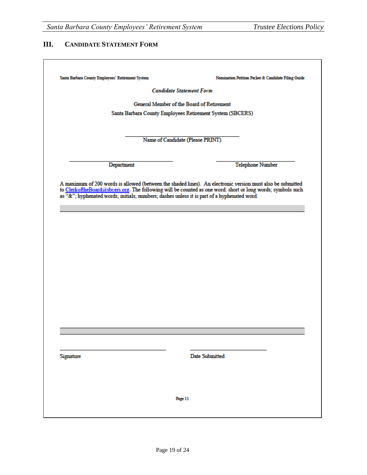#### **III. CANDIDATE STATEMENT FORM**

| Santa Barbara County Employees' Retirement System                                           | Nomination Petition Packet & Candidate Filing Guide                                                         |
|---------------------------------------------------------------------------------------------|-------------------------------------------------------------------------------------------------------------|
|                                                                                             | <b>Candidate Statement Form</b>                                                                             |
|                                                                                             | General Member of the Board of Retirement                                                                   |
|                                                                                             | Santa Barbara County Employees Retirement System (SBCERS)                                                   |
|                                                                                             |                                                                                                             |
|                                                                                             | Name of Candidate (Please PRINT)                                                                            |
|                                                                                             |                                                                                                             |
| Department                                                                                  | <b>Telephone Number</b>                                                                                     |
|                                                                                             |                                                                                                             |
|                                                                                             | A maximum of 200 words is allowed (between the shaded lines). An electronic version must also be submitted  |
|                                                                                             | to ClerkoftheBoard@sbcers.org. The following will be counted as one word: short or long words; symbols such |
| as "&"; hyphenated words; initials; numbers; dashes unless it is part of a hyphenated word. |                                                                                                             |
|                                                                                             |                                                                                                             |
|                                                                                             |                                                                                                             |
|                                                                                             |                                                                                                             |
|                                                                                             |                                                                                                             |
|                                                                                             |                                                                                                             |
|                                                                                             |                                                                                                             |
|                                                                                             |                                                                                                             |
|                                                                                             |                                                                                                             |
|                                                                                             |                                                                                                             |
|                                                                                             |                                                                                                             |
|                                                                                             |                                                                                                             |
|                                                                                             |                                                                                                             |
|                                                                                             |                                                                                                             |
|                                                                                             |                                                                                                             |
|                                                                                             |                                                                                                             |
|                                                                                             |                                                                                                             |
|                                                                                             |                                                                                                             |
| Signature                                                                                   | <b>Date Submitted</b>                                                                                       |
|                                                                                             |                                                                                                             |
|                                                                                             |                                                                                                             |
|                                                                                             |                                                                                                             |
|                                                                                             |                                                                                                             |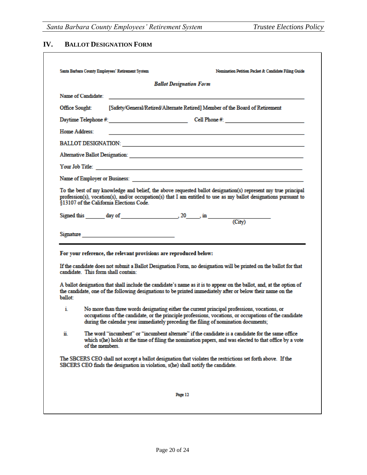### **IV. BALLOT DESIGNATION FORM**

|                           |                 |                                                                                                                                                                                    | <b>Ballot Designation Form</b> |  |                                                                                                                                                                                                                                     |
|---------------------------|-----------------|------------------------------------------------------------------------------------------------------------------------------------------------------------------------------------|--------------------------------|--|-------------------------------------------------------------------------------------------------------------------------------------------------------------------------------------------------------------------------------------|
|                           |                 |                                                                                                                                                                                    |                                |  |                                                                                                                                                                                                                                     |
| Office Sought:            |                 | [Safety/General/Retired/Alternate Retired] Member of the Board of Retirement                                                                                                       |                                |  |                                                                                                                                                                                                                                     |
|                           |                 |                                                                                                                                                                                    |                                |  |                                                                                                                                                                                                                                     |
| Home Address:             |                 |                                                                                                                                                                                    |                                |  |                                                                                                                                                                                                                                     |
|                           |                 |                                                                                                                                                                                    |                                |  |                                                                                                                                                                                                                                     |
|                           |                 |                                                                                                                                                                                    |                                |  |                                                                                                                                                                                                                                     |
|                           |                 |                                                                                                                                                                                    |                                |  |                                                                                                                                                                                                                                     |
|                           |                 |                                                                                                                                                                                    |                                |  |                                                                                                                                                                                                                                     |
|                           |                 | §13107 of the California Elections Code.                                                                                                                                           |                                |  | To the best of my knowledge and belief, the above requested ballot designation(s) represent my true principal<br>profession(s), vocation(s), and/or occupation(s) that I am entitled to use as my ballot designations pursuant to   |
|                           |                 |                                                                                                                                                                                    |                                |  |                                                                                                                                                                                                                                     |
|                           |                 |                                                                                                                                                                                    |                                |  |                                                                                                                                                                                                                                     |
|                           |                 | For your reference, the relevant provisions are reproduced below:                                                                                                                  |                                |  |                                                                                                                                                                                                                                     |
|                           |                 | candidate. This form shall contain:                                                                                                                                                |                                |  | If the candidate does not submit a Ballot Designation Form, no designation will be printed on the ballot for that                                                                                                                   |
|                           |                 |                                                                                                                                                                                    |                                |  | A ballot designation that shall include the candidate's name as it is to appear on the ballot, and, at the option of<br>the candidate, one of the following designations to be printed immediately after or below their name on the |
| ballot <sup>-</sup><br>i. |                 | No more than three words designating either the current principal professions, vocations, or<br>during the calendar year immediately preceding the filing of nomination documents; |                                |  | occupations of the candidate, or the principle professions, vocations, or occupations of the candidate                                                                                                                              |
| ii.                       | of the members. |                                                                                                                                                                                    |                                |  | The word "incumbent" or "incumbent alternate" if the candidate is a candidate for the same office<br>which s(he) holds at the time of filing the nomination papers, and was elected to that office by a vote                        |
|                           |                 | SBCERS CEO finds the designation in violation, s(he) shall notify the candidate.                                                                                                   |                                |  | The SBCERS CEO shall not accept a ballot designation that violates the restrictions set forth above. If the                                                                                                                         |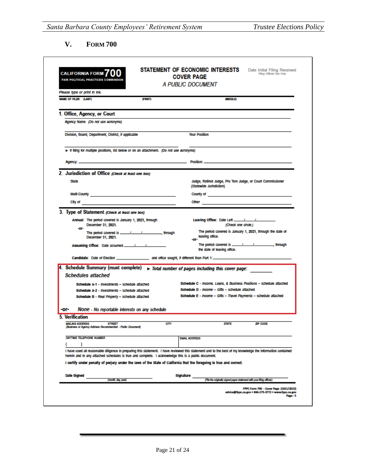**V. FORM 700**

 $\mathbf{r}$ 

| <b>CALIFORNIA FORM</b>                                                                                                                                                                                                                                            |             | STATEMENT OF ECONOMIC INTERESTS<br><b>COVER PAGE</b>                                                                                                                                                                           | Date Initial Filing Received<br>Filing Official Use Only                                      |
|-------------------------------------------------------------------------------------------------------------------------------------------------------------------------------------------------------------------------------------------------------------------|-------------|--------------------------------------------------------------------------------------------------------------------------------------------------------------------------------------------------------------------------------|-----------------------------------------------------------------------------------------------|
| <b>FAIR POLITICAL PRACTICES COMMISSION</b>                                                                                                                                                                                                                        |             | <b>A PUBLIC DOCUMENT</b>                                                                                                                                                                                                       |                                                                                               |
| Please type or print in ink.                                                                                                                                                                                                                                      |             |                                                                                                                                                                                                                                |                                                                                               |
| <b>NAME OF FILER (LAST)</b>                                                                                                                                                                                                                                       | (FIRST)     | <b>(MIDDLE)</b>                                                                                                                                                                                                                |                                                                                               |
| 1. Office, Agency, or Court                                                                                                                                                                                                                                       |             |                                                                                                                                                                                                                                |                                                                                               |
| Agency Name (Do not use acronyms)                                                                                                                                                                                                                                 |             |                                                                                                                                                                                                                                |                                                                                               |
| Division, Board, Department, District, if applicable                                                                                                                                                                                                              |             | <b>Your Position</b>                                                                                                                                                                                                           |                                                                                               |
| Finning for multiple positions, list below or on an attachment. (Do not use acronyms)                                                                                                                                                                             |             |                                                                                                                                                                                                                                |                                                                                               |
|                                                                                                                                                                                                                                                                   |             |                                                                                                                                                                                                                                |                                                                                               |
| 2. Jurisdiction of Office (Check at least one box)                                                                                                                                                                                                                |             |                                                                                                                                                                                                                                |                                                                                               |
| <b>State</b>                                                                                                                                                                                                                                                      |             | Judge, Retired Judge, Pro Tem Judge, or Court Commissioner<br>(Statewide Junsdiction)                                                                                                                                          |                                                                                               |
|                                                                                                                                                                                                                                                                   |             | County of the country of the country of the country of the country of the country of the country of the country of the country of the country of the country of the country of the country of the country of the country of th |                                                                                               |
|                                                                                                                                                                                                                                                                   |             | <b>Other</b>                                                                                                                                                                                                                   |                                                                                               |
| 3. Type of Statement (Check at least one box)                                                                                                                                                                                                                     |             |                                                                                                                                                                                                                                |                                                                                               |
| Annual: The period covered is January 1, 2021, through<br>December 31, 2021.                                                                                                                                                                                      |             | (Check one circle.)                                                                                                                                                                                                            |                                                                                               |
| -OF-<br>December 31, 2021.                                                                                                                                                                                                                                        |             | The period covered is January 1, 2021, through the date of<br>leaving office.<br>-OF-                                                                                                                                          |                                                                                               |
|                                                                                                                                                                                                                                                                   |             | the date of leaving office.                                                                                                                                                                                                    |                                                                                               |
|                                                                                                                                                                                                                                                                   |             | Candidate: Date of Election __________________________ and office sought, if different than Part 1: ________________                                                                                                           |                                                                                               |
| 4. Schedule Summary (must complete) $\rightarrow$ Total number of pages including this cover page:                                                                                                                                                                |             |                                                                                                                                                                                                                                |                                                                                               |
| <b>Schedules attached</b>                                                                                                                                                                                                                                         |             |                                                                                                                                                                                                                                |                                                                                               |
| Schedule A-1 - Investments - schedule attached                                                                                                                                                                                                                    |             | Schedule C - Income, Loans, & Business Positions - schedule attached                                                                                                                                                           |                                                                                               |
| Schedule A-2 - Investments - schedule attached                                                                                                                                                                                                                    |             | Schedule D - Income - Gifts - schedule attached                                                                                                                                                                                |                                                                                               |
| Schedule B - Real Property - schedule attached                                                                                                                                                                                                                    |             | Schedule E - Income - Gifts - Travel Payments - schedule attached                                                                                                                                                              |                                                                                               |
| None - No reportable interests on any schedule<br>-or-                                                                                                                                                                                                            |             |                                                                                                                                                                                                                                |                                                                                               |
| 5. Verification                                                                                                                                                                                                                                                   |             |                                                                                                                                                                                                                                |                                                                                               |
| <b>MAILING ADDRESS</b><br>STREET<br>(Business or Agency Address Recommended - Public Document)                                                                                                                                                                    | <b>CITY</b> | <b>STATE</b>                                                                                                                                                                                                                   | ZIP CODE                                                                                      |
| DAYTIME TELEPHONE NUMBER                                                                                                                                                                                                                                          |             | <b>EMAIL ADDRESS</b>                                                                                                                                                                                                           |                                                                                               |
| I have used all reasonable diligence in preparing this statement. I have reviewed this statement and to the best of my knowledge the information contained<br>herein and in any attached schedules is true and complete. I acknowledge this is a public document. |             |                                                                                                                                                                                                                                |                                                                                               |
| I certify under penalty of perjury under the laws of the State of California that the foregoing is true and correct.                                                                                                                                              |             |                                                                                                                                                                                                                                |                                                                                               |
| Date Signed                                                                                                                                                                                                                                                       |             | Signature                                                                                                                                                                                                                      |                                                                                               |
| (month, day, year)                                                                                                                                                                                                                                                |             | (I fe the originaly signed paper statement with your filing oficial)                                                                                                                                                           |                                                                                               |
|                                                                                                                                                                                                                                                                   |             |                                                                                                                                                                                                                                | FPPC Form 700 - Cover Page (2021/2022)<br>advice@fppc.ca.gov = 866-275-3772 = www.fppc.ca.gov |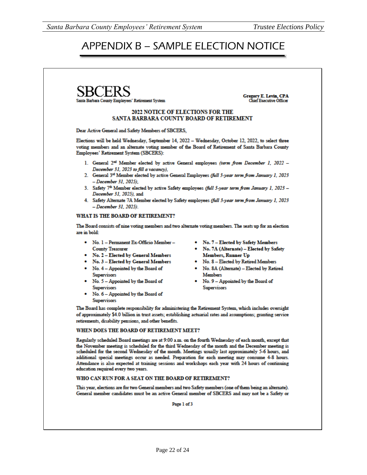# APPENDIX B – SAMPLE ELECTION NOTICE



Gregory E. Levin, CPA<br>Chief Executive Officer

#### 2022 NOTICE OF ELECTIONS FOR THE SANTA BARBARA COUNTY BOARD OF RETIREMENT

Dear Active General and Safety Members of SBCERS,

Elections will be held Wednesday, September 14, 2022 - Wednesday, October 12, 2022, to select three voting members and an alternate voting member of the Board of Retirement of Santa Barbara County Employees' Retirement System (SBCERS):

- 1. General 2<sup>nd</sup> Member elected by active General employees (term from December 1, 2022 -December 31, 2023 to fill a vacancy),
- 2. General 3<sup>rd</sup> Member elected by active General Employees (full 3-year term from January 1, 2023 - December 31, 2025),
- 3. Safety 7<sup>th</sup> Member elected by active Safety employees (full 3-year term from January 1, 2023 -December 31, 2025), and
- 4. Safety Alternate 7A Member elected by Safety employees (full 3-year term from January 1, 2023 - December 31, 2025).

#### WHAT IS THE BOARD OF RETIREMENT?

The Board consists of nine voting members and two alternate voting members. The seats up for an election are in bold:

- No. 1 Permanent Ex-Officio Member -**County Treasurer**
- No. 2 Elected by General Members
- No. 3 Elected by General Members
- No. 4 Appointed by the Board of **Supervisors**
- No. 5 Appointed by the Board of **Supervisors**
- No. 6 Appointed by the Board of **Supervisors**
- No. 7 Elected by Safety Members
- . No. 7A (Alternate) Elected by Safety **Members, Runner Up**
- . No. 8 Elected by Retired Members
- No. 8A (Alternate) Elected by Retired **Members**
- No. 9 Appointed by the Board of **Supervisors**

The Board has complete responsibility for administering the Retirement System, which includes oversight of approximately \$4.0 billion in trust assets; establishing actuarial rates and assumptions; granting service retirements, disability pensions, and other benefits.

#### WHEN DOES THE BOARD OF RETIREMENT MEET?

Regularly scheduled Board meetings are at 9:00 a.m. on the fourth Wednesday of each month, except that the November meeting is scheduled for the third Wednesday of the month and the December meeting is scheduled for the second Wednesday of the month. Meetings usually last approximately 5-6 hours, and additional special meetings occur as needed. Preparation for each meeting may consume 4-8 hours. Attendance is also expected at training sessions and workshops each year with 24 hours of continuing education required every two years.

#### WHO CAN RUN FOR A SEAT ON THE BOARD OF RETIREMENT?

This year, elections are for two General members and two Safety members (one of them being an alternate). General member candidates must be an active General member of SBCERS and may not be a Safety or

Page 1 of 3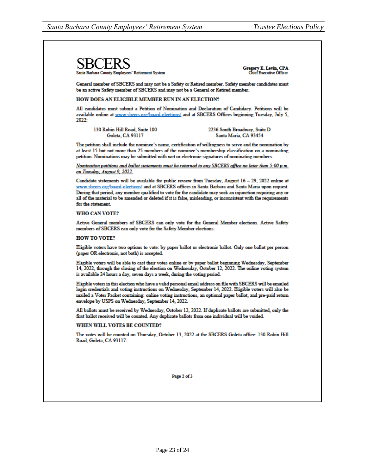